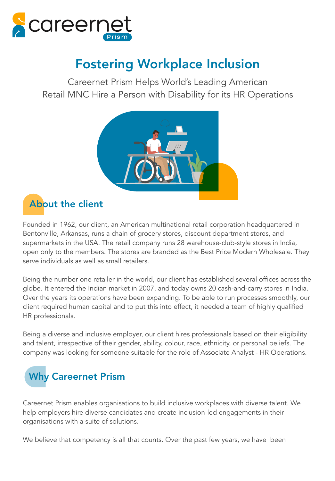

# Fostering Workplace Inclusion

Careernet Prism Helps World's Leading American Retail MNC Hire a Person with Disability for its HR Operations



### About the client

Founded in 1962, our client, an American multinational retail corporation headquartered in Bentonville, Arkansas, runs a chain of grocery stores, discount department stores, and supermarkets in the USA. The retail company runs 28 warehouse-club-style stores in India, open only to the members. The stores are branded as the Best Price Modern Wholesale. They serve individuals as well as small retailers.

Being the number one retailer in the world, our client has established several offices across the globe. It entered the Indian market in 2007, and today owns 20 cash-and-carry stores in India. Over the years its operations have been expanding. To be able to run processes smoothly, our client required human capital and to put this into effect, it needed a team of highly qualified HR professionals.

Being a diverse and inclusive employer, our client hires professionals based on their eligibility and talent, irrespective of their gender, ability, colour, race, ethnicity, or personal beliefs. The company was looking for someone suitable for the role of Associate Analyst - HR Operations.



Careernet Prism enables organisations to build inclusive workplaces with diverse talent. We help employers hire diverse candidates and create inclusion-led engagements in their organisations with a suite of solutions.

We believe that competency is all that counts. Over the past few years, we have been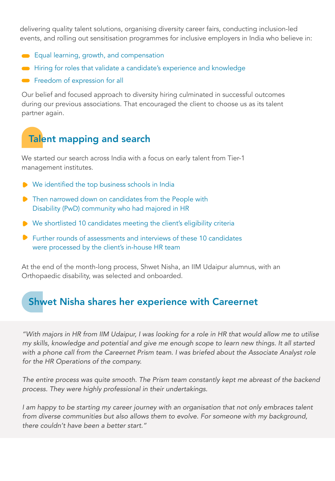delivering quality talent solutions, organising diversity career fairs, conducting inclusion-led events, and rolling out sensitisation programmes for inclusive employers in India who believe in:

- Equal learning, growth, and compensation
- Hiring for roles that validate a candidate's experience and knowledge
- **•** Freedom of expression for all

Our belief and focused approach to diversity hiring culminated in successful outcomes during our previous associations. That encouraged the client to choose us as its talent partner again.

## Talent mapping and search

We started our search across India with a focus on early talent from Tier-1 management institutes.

- We identified the top business schools in India
- **•** Then narrowed down on candidates from the People with Disability (PwD) community who had majored in HR
- ▶ We shortlisted 10 candidates meeting the client's eligibility criteria
- **P** Further rounds of assessments and interviews of these 10 candidates were processed by the client's in-house HR team

At the end of the month-long process, Shwet Nisha, an IIM Udaipur alumnus, with an Orthopaedic disability, was selected and onboarded.

#### Shwet Nisha shares her experience with Careernet

"With majors in HR from IIM Udaipur, I was looking for a role in HR that would allow me to utilise my skills, knowledge and potential and give me enough scope to learn new things. It all started with a phone call from the Careernet Prism team. I was briefed about the Associate Analyst role for the HR Operations of the company.

The entire process was quite smooth. The Prism team constantly kept me abreast of the backend process. They were highly professional in their undertakings.

I am happy to be starting my career journey with an organisation that not only embraces talent from diverse communities but also allows them to evolve. For someone with my background, there couldn't have been a better start."